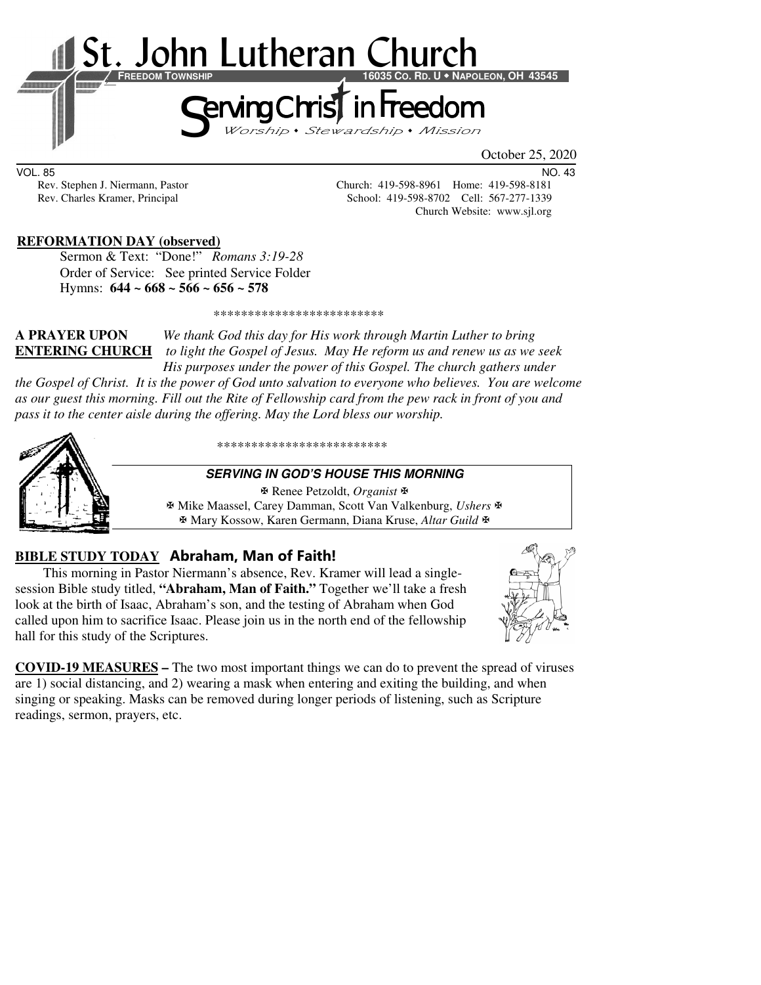

VOL. 85 NO. 43

Rev. Stephen J. Niermann, Pastor Church: 419-598-8961 Home: 419-598-8181 Rev. Charles Kramer, Principal School: 419-598-8702 Cell: 567-277-1339 Church Website: www.sjl.org

#### **REFORMATION DAY (observed)**

 Sermon & Text: "Done!" *Romans 3:19-28* Order of Service: See printed Service Folder Hymns: **644 ~ 668 ~ 566 ~ 656 ~ 578**

\*\*\*\*\*\*\*\*\*\*\*\*\*\*\*\*\*\*\*\*\*\*\*\*\*

**A PRAYER UPON** *We thank God this day for His work through Martin Luther to bring*  **ENTERING CHURCH** *to light the Gospel of Jesus. May He reform us and renew us as we seek His purposes under the power of this Gospel. The church gathers under* 

*the Gospel of Christ. It is the power of God unto salvation to everyone who believes. You are welcome as our guest this morning. Fill out the Rite of Fellowship card from the pew rack in front of you and pass it to the center aisle during the offering. May the Lord bless our worship.* 



\*\*\*\*\*\*\*\*\*\*\*\*\*\*\*\*\*\*\*\*\*\*\*\*\*

#### **SERVING IN GOD'S HOUSE THIS MORNING**

 Renee Petzoldt, *Organist* Mike Maassel, Carey Damman, Scott Van Valkenburg, *Ushers* Mary Kossow, Karen Germann, Diana Kruse, *Altar Guild*

#### **BIBLE STUDY TODAY Abraham, Man of Faith!**

This morning in Pastor Niermann's absence, Rev. Kramer will lead a singlesession Bible study titled, **"Abraham, Man of Faith."** Together we'll take a fresh look at the birth of Isaac, Abraham's son, and the testing of Abraham when God called upon him to sacrifice Isaac. Please join us in the north end of the fellowship hall for this study of the Scriptures.



**COVID-19 MEASURES –** The two most important things we can do to prevent the spread of viruses are 1) social distancing, and 2) wearing a mask when entering and exiting the building, and when singing or speaking. Masks can be removed during longer periods of listening, such as Scripture readings, sermon, prayers, etc.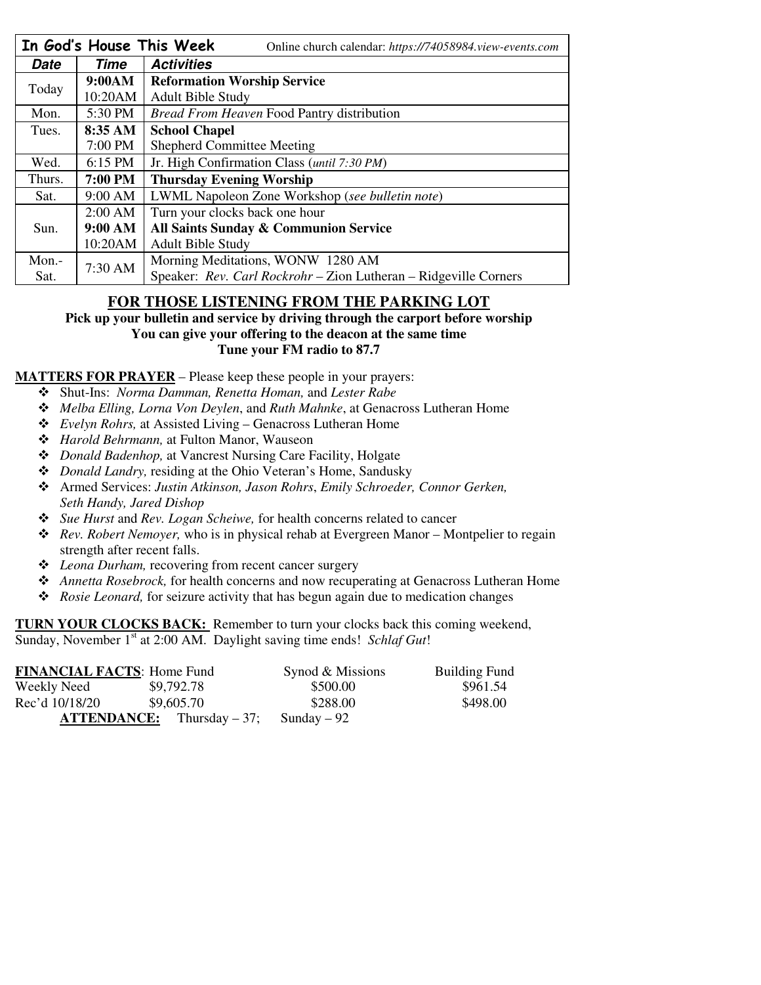|        |           | In God's House This Week<br>Online church calendar: https://74058984.view-events.com |  |
|--------|-----------|--------------------------------------------------------------------------------------|--|
| Date   | Time      | <b>Activities</b>                                                                    |  |
| Today  | 9:00AM    | <b>Reformation Worship Service</b>                                                   |  |
|        | 10:20AM   | <b>Adult Bible Study</b>                                                             |  |
| Mon.   | 5:30 PM   | <b>Bread From Heaven Food Pantry distribution</b>                                    |  |
| Tues.  | 8:35 AM   | <b>School Chapel</b>                                                                 |  |
|        | 7:00 PM   | <b>Shepherd Committee Meeting</b>                                                    |  |
| Wed.   | 6:15 PM   | Jr. High Confirmation Class (until 7:30 PM)                                          |  |
| Thurs. | 7:00 PM   | <b>Thursday Evening Worship</b>                                                      |  |
| Sat.   | 9:00 AM   | LWML Napoleon Zone Workshop (see bulletin note)                                      |  |
|        | $2:00$ AM | Turn your clocks back one hour                                                       |  |
| Sun.   | 9:00 AM   | All Saints Sunday & Communion Service                                                |  |
|        | 10:20AM   | <b>Adult Bible Study</b>                                                             |  |
| Mon.-  | 7:30 AM   | Morning Meditations, WONW 1280 AM                                                    |  |
| Sat.   |           | Speaker: Rev. Carl Rockrohr - Zion Lutheran - Ridgeville Corners                     |  |

## **FOR THOSE LISTENING FROM THE PARKING LOT**

**Pick up your bulletin and service by driving through the carport before worship You can give your offering to the deacon at the same time Tune your FM radio to 87.7** 

**MATTERS FOR PRAYER** – Please keep these people in your prayers:

- Shut-Ins: *Norma Damman, Renetta Homan,* and *Lester Rabe*
- *Melba Elling, Lorna Von Deylen*, and *Ruth Mahnke*, at Genacross Lutheran Home
- *Evelyn Rohrs,* at Assisted Living Genacross Lutheran Home
- *Harold Behrmann,* at Fulton Manor, Wauseon
- *Donald Badenhop,* at Vancrest Nursing Care Facility, Holgate
- *Donald Landry,* residing at the Ohio Veteran's Home, Sandusky
- Armed Services: *Justin Atkinson, Jason Rohrs*, *Emily Schroeder, Connor Gerken, Seth Handy, Jared Dishop*
- *Sue Hurst* and *Rev. Logan Scheiwe,* for health concerns related to cancer
- *Rev. Robert Nemoyer,* who is in physical rehab at Evergreen Manor Montpelier to regain strength after recent falls.
- *Leona Durham,* recovering from recent cancer surgery
- *Annetta Rosebrock,* for health concerns and now recuperating at Genacross Lutheran Home
- *Rosie Leonard,* for seizure activity that has begun again due to medication changes

**TURN YOUR CLOCKS BACK:** Remember to turn your clocks back this coming weekend, Sunday, November 1<sup>st</sup> at 2:00 AM. Daylight saving time ends! *Schlaf Gut*!

| <b>FINANCIAL FACTS: Home Fund</b> |                                     | Synod & Missions | <b>Building Fund</b> |
|-----------------------------------|-------------------------------------|------------------|----------------------|
| Weekly Need                       | \$9,792.78                          | \$500.00         | \$961.54             |
| Rec'd 10/18/20                    | \$9,605.70                          | \$288.00         | \$498.00             |
|                                   | <b>ATTENDANCE:</b> Thursday $-37$ ; | Sunday $-92$     |                      |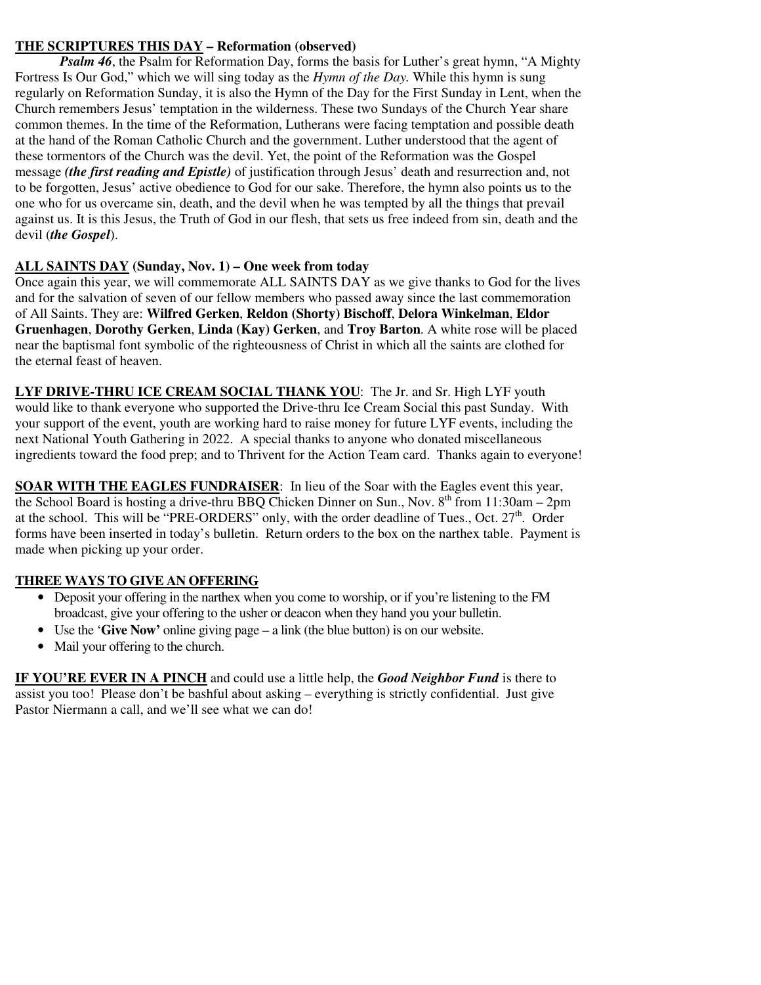### **THE SCRIPTURES THIS DAY – Reformation (observed)**

*Psalm 46*, the Psalm for Reformation Day, forms the basis for Luther's great hymn, "A Mighty Fortress Is Our God," which we will sing today as the *Hymn of the Day.* While this hymn is sung regularly on Reformation Sunday, it is also the Hymn of the Day for the First Sunday in Lent, when the Church remembers Jesus' temptation in the wilderness. These two Sundays of the Church Year share common themes. In the time of the Reformation, Lutherans were facing temptation and possible death at the hand of the Roman Catholic Church and the government. Luther understood that the agent of these tormentors of the Church was the devil. Yet, the point of the Reformation was the Gospel message *(the first reading and Epistle)* of justification through Jesus' death and resurrection and, not to be forgotten, Jesus' active obedience to God for our sake. Therefore, the hymn also points us to the one who for us overcame sin, death, and the devil when he was tempted by all the things that prevail against us. It is this Jesus, the Truth of God in our flesh, that sets us free indeed from sin, death and the devil (*the Gospel*).

#### **ALL SAINTS DAY (Sunday, Nov. 1) – One week from today**

Once again this year, we will commemorate ALL SAINTS DAY as we give thanks to God for the lives and for the salvation of seven of our fellow members who passed away since the last commemoration of All Saints. They are: **Wilfred Gerken**, **Reldon (Shorty) Bischoff**, **Delora Winkelman**, **Eldor Gruenhagen**, **Dorothy Gerken**, **Linda (Kay) Gerken**, and **Troy Barton**. A white rose will be placed near the baptismal font symbolic of the righteousness of Christ in which all the saints are clothed for the eternal feast of heaven.

**LYF DRIVE-THRU ICE CREAM SOCIAL THANK YOU**: The Jr. and Sr. High LYF youth would like to thank everyone who supported the Drive-thru Ice Cream Social this past Sunday. With your support of the event, youth are working hard to raise money for future LYF events, including the next National Youth Gathering in 2022. A special thanks to anyone who donated miscellaneous ingredients toward the food prep; and to Thrivent for the Action Team card. Thanks again to everyone!

**SOAR WITH THE EAGLES FUNDRAISER**: In lieu of the Soar with the Eagles event this year, the School Board is hosting a drive-thru BBQ Chicken Dinner on Sun., Nov.  $8<sup>th</sup>$  from 11:30am – 2pm at the school. This will be "PRE-ORDERS" only, with the order deadline of Tues., Oct. 27<sup>th</sup>. Order forms have been inserted in today's bulletin. Return orders to the box on the narthex table. Payment is made when picking up your order.

#### **THREE WAYS TO GIVE AN OFFERING**

- Deposit your offering in the narthex when you come to worship, or if you're listening to the FM broadcast, give your offering to the usher or deacon when they hand you your bulletin.
- Use the '**Give Now'** online giving page a link (the blue button) is on our website.
- Mail your offering to the church.

**IF YOU'RE EVER IN A PINCH** and could use a little help, the *Good Neighbor Fund* is there to assist you too! Please don't be bashful about asking – everything is strictly confidential. Just give Pastor Niermann a call, and we'll see what we can do!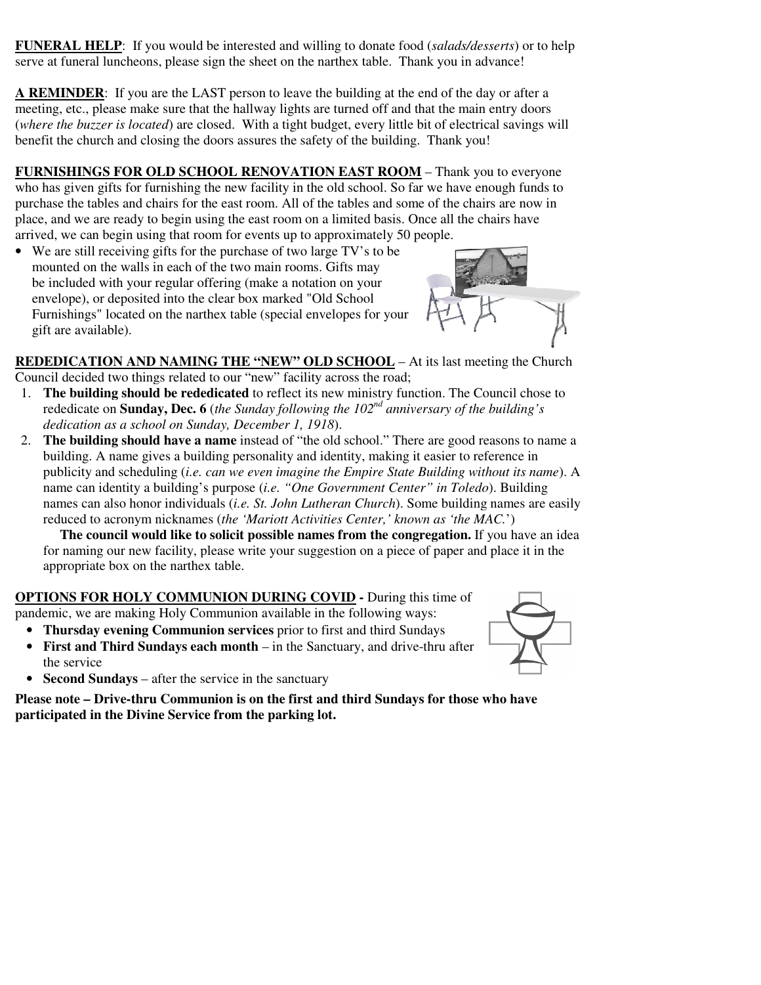**FUNERAL HELP**: If you would be interested and willing to donate food (*salads/desserts*) or to help serve at funeral luncheons, please sign the sheet on the narthex table. Thank you in advance!

**A REMINDER**: If you are the LAST person to leave the building at the end of the day or after a meeting, etc., please make sure that the hallway lights are turned off and that the main entry doors (*where the buzzer is located*) are closed. With a tight budget, every little bit of electrical savings will benefit the church and closing the doors assures the safety of the building. Thank you!

**FURNISHINGS FOR OLD SCHOOL RENOVATION EAST ROOM** – Thank you to everyone who has given gifts for furnishing the new facility in the old school. So far we have enough funds to purchase the tables and chairs for the east room. All of the tables and some of the chairs are now in place, and we are ready to begin using the east room on a limited basis. Once all the chairs have arrived, we can begin using that room for events up to approximately 50 people.

• We are still receiving gifts for the purchase of two large TV's to be mounted on the walls in each of the two main rooms. Gifts may be included with your regular offering (make a notation on your envelope), or deposited into the clear box marked "Old School Furnishings" located on the narthex table (special envelopes for your gift are available).



**REDEDICATION AND NAMING THE "NEW" OLD SCHOOL** – At its last meeting the Church Council decided two things related to our "new" facility across the road;

- 1. **The building should be rededicated** to reflect its new ministry function. The Council chose to rededicate on **Sunday, Dec. 6** (*the Sunday following the 102nd anniversary of the building's dedication as a school on Sunday, December 1, 1918*).
- 2. **The building should have a name** instead of "the old school." There are good reasons to name a building. A name gives a building personality and identity, making it easier to reference in publicity and scheduling (*i.e. can we even imagine the Empire State Building without its name*). A name can identity a building's purpose (*i.e. "One Government Center" in Toledo*). Building names can also honor individuals (*i.e. St. John Lutheran Church*). Some building names are easily reduced to acronym nicknames (*the 'Mariott Activities Center,' known as 'the MAC.*')

**The council would like to solicit possible names from the congregation.** If you have an idea for naming our new facility, please write your suggestion on a piece of paper and place it in the appropriate box on the narthex table.

# **OPTIONS FOR HOLY COMMUNION DURING COVID -** During this time of

pandemic, we are making Holy Communion available in the following ways:

- **Thursday evening Communion services** prior to first and third Sundays
- **First and Third Sundays each month** in the Sanctuary, and drive-thru after the service



• **Second Sundays** – after the service in the sanctuary

**Please note – Drive-thru Communion is on the first and third Sundays for those who have participated in the Divine Service from the parking lot.**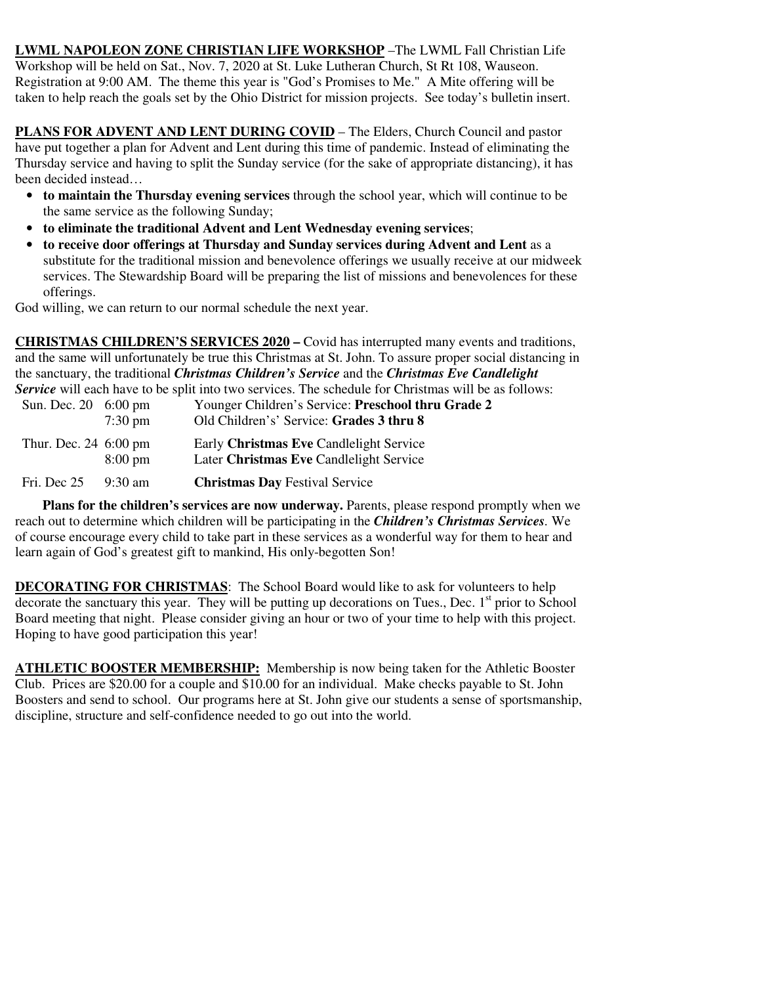**LWML NAPOLEON ZONE CHRISTIAN LIFE WORKSHOP** –The LWML Fall Christian Life Workshop will be held on Sat., Nov. 7, 2020 at St. Luke Lutheran Church, St Rt 108, Wauseon. Registration at 9:00 AM. The theme this year is "God's Promises to Me." A Mite offering will be taken to help reach the goals set by the Ohio District for mission projects. See today's bulletin insert.

**PLANS FOR ADVENT AND LENT DURING COVID** – The Elders, Church Council and pastor have put together a plan for Advent and Lent during this time of pandemic. Instead of eliminating the Thursday service and having to split the Sunday service (for the sake of appropriate distancing), it has been decided instead…

- **to maintain the Thursday evening services** through the school year, which will continue to be the same service as the following Sunday;
- **to eliminate the traditional Advent and Lent Wednesday evening services**;
- **to receive door offerings at Thursday and Sunday services during Advent and Lent** as a substitute for the traditional mission and benevolence offerings we usually receive at our midweek services. The Stewardship Board will be preparing the list of missions and benevolences for these offerings.

God willing, we can return to our normal schedule the next year.

**CHRISTMAS CHILDREN'S SERVICES 2020 –** Covid has interrupted many events and traditions, and the same will unfortunately be true this Christmas at St. John. To assure proper social distancing in the sanctuary, the traditional *Christmas Children's Service* and the *Christmas Eve Candlelight Service* will each have to be split into two services. The schedule for Christmas will be as follows:

| Sun. Dec. 20 6:00 pm               | $7:30 \text{ pm}$ | Younger Children's Service: Preschool thru Grade 2<br>Old Children's' Service: Grades 3 thru 8 |
|------------------------------------|-------------------|------------------------------------------------------------------------------------------------|
| Thur. Dec. $24\,6:00\,\mathrm{pm}$ | $8:00 \text{ pm}$ | Early Christmas Eve Candlelight Service<br>Later Christmas Eve Candlelight Service             |
| Fri. Dec 25                        | $9:30 \text{ am}$ | <b>Christmas Day Festival Service</b>                                                          |

 **Plans for the children's services are now underway.** Parents, please respond promptly when we reach out to determine which children will be participating in the *Children's Christmas Services.* We of course encourage every child to take part in these services as a wonderful way for them to hear and learn again of God's greatest gift to mankind, His only-begotten Son!

**DECORATING FOR CHRISTMAS**: The School Board would like to ask for volunteers to help decorate the sanctuary this year. They will be putting up decorations on Tues., Dec. 1<sup>st</sup> prior to School Board meeting that night. Please consider giving an hour or two of your time to help with this project. Hoping to have good participation this year!

**ATHLETIC BOOSTER MEMBERSHIP:** Membership is now being taken for the Athletic Booster Club. Prices are \$20.00 for a couple and \$10.00 for an individual. Make checks payable to St. John Boosters and send to school. Our programs here at St. John give our students a sense of sportsmanship, discipline, structure and self-confidence needed to go out into the world.